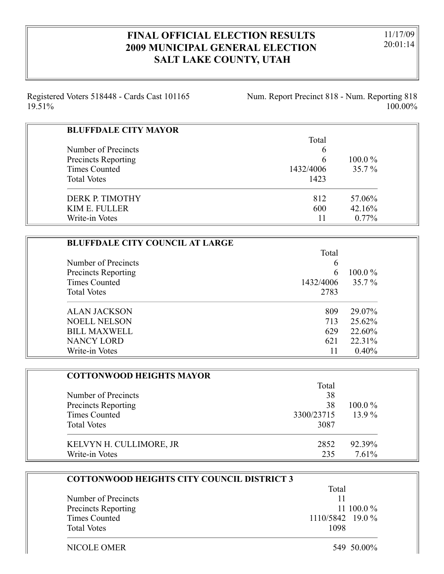## **FINAL OFFICIAL ELECTION RESULTS 2009 MUNICIPAL GENERAL ELECTION SALT LAKE COUNTY, UTAH**

11/17/09 20:01:14

Registered Voters 518448 - Cards Cast 101165 19.51%

Num. Report Precinct 818 - Num. Reporting 818 100.00%

| <b>BLUFFDALE CITY MAYOR</b> |           |           |
|-----------------------------|-----------|-----------|
|                             | Total     |           |
| Number of Precincts         | 6         |           |
| <b>Precincts Reporting</b>  | 6         | $100.0\%$ |
| <b>Times Counted</b>        | 1432/4006 | $35.7\%$  |
| <b>Total Votes</b>          | 1423      |           |
| DERK P. TIMOTHY             | 812       | 57.06%    |
| KIM E. FULLER               | 600       | 42.16%    |
| Write-in Votes              |           | $0.77\%$  |

| <b>BLUFFDALE CITY COUNCIL AT LARGE</b> |           |           |
|----------------------------------------|-----------|-----------|
|                                        | Total     |           |
| Number of Precincts                    | 6         |           |
| <b>Precincts Reporting</b>             | 6         | $100.0\%$ |
| <b>Times Counted</b>                   | 1432/4006 | $35.7\%$  |
| <b>Total Votes</b>                     | 2783      |           |
| <b>ALAN JACKSON</b>                    | 809       | 29.07%    |
| <b>NOELL NELSON</b>                    | 713       | 25.62%    |
| <b>BILL MAXWELL</b>                    | 629       | 22.60%    |
| <b>NANCY LORD</b>                      | 621       | 22.31%    |
| Write-in Votes                         |           | 0.40%     |

| <b>COTTONWOOD HEIGHTS MAYOR</b> |            |           |
|---------------------------------|------------|-----------|
|                                 | Total      |           |
| Number of Precincts             | 38         |           |
| Precincts Reporting             | 38         | $100.0\%$ |
| Times Counted                   | 3300/23715 | $13.9\%$  |
| <b>Total Votes</b>              | 3087       |           |
| KELVYN H. CULLIMORE, JR         | 2852       | 92.39%    |
| Write-in Votes                  | 235        | 7.61%     |

|                      | Total            |
|----------------------|------------------|
| Number of Precincts  |                  |
| Precincts Reporting  | 11 100.0 $\%$    |
| <b>Times Counted</b> | 1110/5842 19.0 % |
| <b>Total Votes</b>   | 1098             |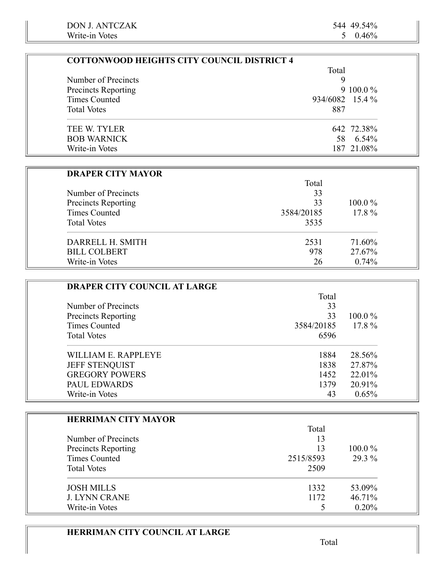$\equiv$ 

| <b>COTTONWOOD HEIGHTS CITY COUNCIL DISTRICT 4</b> |                 |              |
|---------------------------------------------------|-----------------|--------------|
|                                                   | Total           |              |
| Number of Precincts                               | 9               |              |
| Precincts Reporting                               |                 | 9 100.0 $\%$ |
| Times Counted                                     | 934/6082 15.4 % |              |
| <b>Total Votes</b>                                | 887             |              |
| TEE W. TYLER                                      |                 | 642 72.38%   |
| <b>BOB WARNICK</b>                                |                 | 58 6.54%     |
| Write-in Votes                                    |                 | 187 21.08%   |

| <b>DRAPER CITY MAYOR</b>   |            |           |
|----------------------------|------------|-----------|
|                            | Total      |           |
| Number of Precincts        | 33         |           |
| <b>Precincts Reporting</b> | 33         | $100.0\%$ |
| <b>Times Counted</b>       | 3584/20185 | $17.8\%$  |
| <b>Total Votes</b>         | 3535       |           |
| DARRELL H. SMITH           | 2531       | 71.60%    |
| <b>BILL COLBERT</b>        | 978        | 27.67%    |
| Write-in Votes             | 26         | 0.74%     |

| <b>DRAPER CITY COUNCIL AT LARGE</b> |            |           |
|-------------------------------------|------------|-----------|
|                                     | Total      |           |
| Number of Precincts                 | 33         |           |
| <b>Precincts Reporting</b>          | 33         | $100.0\%$ |
| Times Counted                       | 3584/20185 | $17.8\%$  |
| <b>Total Votes</b>                  | 6596       |           |
| WILLIAM E. RAPPLEYE                 | 1884       | 28.56%    |
| <b>JEFF STENQUIST</b>               | 1838       | 27.87%    |
| <b>GREGORY POWERS</b>               | 1452       | 22.01%    |
| <b>PAUL EDWARDS</b>                 | 1379       | 20.91%    |
| Write-in Votes                      | 43         | 0.65%     |

| <b>HERRIMAN CITY MAYOR</b> |           |           |
|----------------------------|-----------|-----------|
|                            | Total     |           |
| Number of Precincts        | 13        |           |
| Precincts Reporting        | 13        | $100.0\%$ |
| <b>Times Counted</b>       | 2515/8593 | 29.3 %    |
| <b>Total Votes</b>         | 2509      |           |
| <b>JOSH MILLS</b>          | 1332      | 53.09%    |
| <b>J. LYNN CRANE</b>       | 1172      | 46.71%    |
| Write-in Votes             |           | 0.20%     |

## **HERRIMAN CITY COUNCIL AT LARGE**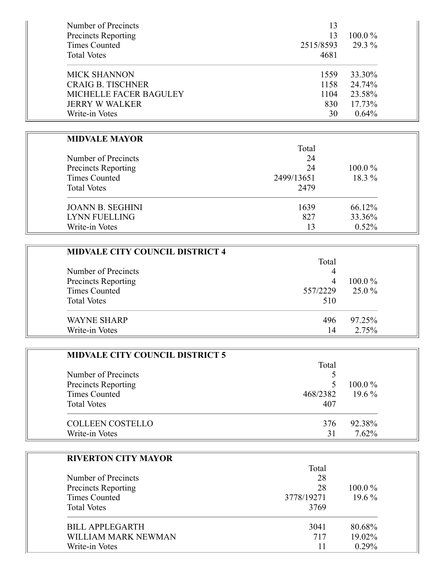| Number of Precincts<br><b>Precincts Reporting</b> | 13<br>13  | $100.0\%$ |
|---------------------------------------------------|-----------|-----------|
| Times Counted                                     | 2515/8593 | 29.3 %    |
| <b>Total Votes</b>                                | 4681      |           |
| <b>MICK SHANNON</b>                               | 1559      | 33.30%    |
| <b>CRAIG B. TISCHNER</b>                          | 1158      | 24.74%    |
| <b>MICHELLE FACER BAGULEY</b>                     | 1104      | 23.58%    |
| <b>JERRY W WALKER</b>                             | 830       | 17.73%    |
| Write-in Votes                                    | 30        | 0.64%     |

#### **MIDVALE MAYOR**

÷

|                            | Total      |           |
|----------------------------|------------|-----------|
| Number of Precincts        | 24         |           |
| <b>Precincts Reporting</b> | 24         | $100.0\%$ |
| Times Counted              | 2499/13651 | 18.3 %    |
| <b>Total Votes</b>         | 2479       |           |
| <b>JOANN B. SEGHINI</b>    | 1639       | 66.12%    |
| LYNN FUELLING              | 827        | 33.36%    |
| Write-in Votes             | 13         | 0.52%     |

 $T<sub>1</sub>$  1

| <b>MIDVALE CITY COUNCIL DISTRICT 4</b> |          |           |
|----------------------------------------|----------|-----------|
|                                        | Total    |           |
| Number of Precincts                    | 4        |           |
| <b>Precincts Reporting</b>             | 4        | $100.0\%$ |
| Times Counted                          | 557/2229 | $25.0\%$  |
| <b>Total Votes</b>                     | 510      |           |
| <b>WAYNE SHARP</b>                     | 496      | 97.25%    |
| Write-in Votes                         | 14       | 2.75%     |

| <b>MIDVALE CITY COUNCIL DISTRICT 5</b> |          |           |
|----------------------------------------|----------|-----------|
|                                        | Total    |           |
| Number of Precincts                    |          |           |
| Precincts Reporting                    |          | $100.0\%$ |
| <b>Times Counted</b>                   | 468/2382 | $19.6\%$  |
| <b>Total Votes</b>                     | 407      |           |
| <b>COLLEEN COSTELLO</b>                | 376      | 92.38%    |
| Write-in Votes                         |          | 7.62%     |

| <b>RIVERTON CITY MAYOR</b> |            |           |
|----------------------------|------------|-----------|
|                            | Total      |           |
| Number of Precincts        | 28         |           |
| <b>Precincts Reporting</b> | 28         | $100.0\%$ |
| <b>Times Counted</b>       | 3778/19271 | $19.6\%$  |
| <b>Total Votes</b>         | 3769       |           |
| BILL APPLEGARTH            | 3041       | 80.68%    |
| WILLIAM MARK NEWMAN        | 717        | 19.02%    |
| Write-in Votes             |            | 0.29%     |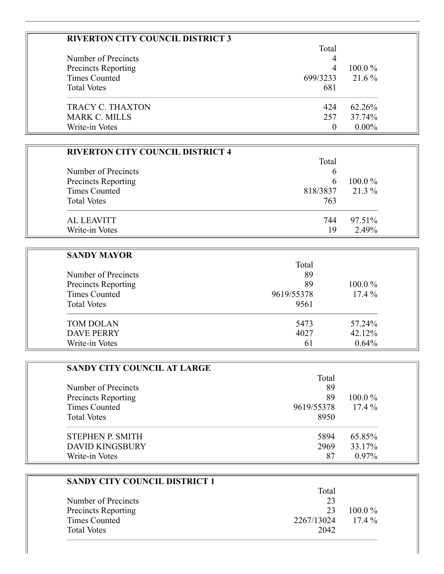| <b>RIVERTON CITY COUNCIL DISTRICT 3</b> |          |           |
|-----------------------------------------|----------|-----------|
|                                         | Total    |           |
| Number of Precincts                     | 4        |           |
| <b>Precincts Reporting</b>              | 4        | $100.0\%$ |
| Times Counted                           | 699/3233 | 21.6 %    |
| <b>Total Votes</b>                      | 681      |           |
| <b>TRACY C. THAXTON</b>                 | 424      | 62.26%    |
| <b>MARK C. MILLS</b>                    | 257      | 37.74%    |
| Write-in Votes                          |          | $0.00\%$  |

| <b>RIVERTON CITY COUNCIL DISTRICT 4</b> |              |           |
|-----------------------------------------|--------------|-----------|
|                                         | Total        |           |
| Number of Precincts                     | b            |           |
| Precincts Reporting                     | <sub>6</sub> | $100.0\%$ |
| <b>Times Counted</b>                    | 818/3837     | 21.3 %    |
| <b>Total Votes</b>                      | 763          |           |
| <b>AL LEAVITT</b>                       | 744          | 97.51%    |
| Write-in Votes                          | 19           | 2.49%     |

| <b>SANDY MAYOR</b>         |            |           |
|----------------------------|------------|-----------|
| Number of Precincts        | Total      |           |
|                            | 89         |           |
| <b>Precincts Reporting</b> | 89         | $100.0\%$ |
| <b>Times Counted</b>       | 9619/55378 | $17.4\%$  |
| <b>Total Votes</b>         | 9561       |           |
| <b>TOM DOLAN</b>           | 5473       | 57.24%    |
| <b>DAVE PERRY</b>          | 4027       | 42.12%    |
| Write-in Votes             | 61         | 0.64%     |

| <b>SANDY CITY COUNCIL AT LARGE</b>         |            |           |
|--------------------------------------------|------------|-----------|
|                                            | Total      |           |
| Number of Precincts<br>Precincts Reporting | 89         | $100.0\%$ |
|                                            | 89         |           |
| <b>Times Counted</b>                       | 9619/55378 | $17.4\%$  |
| <b>Total Votes</b>                         | 8950       |           |
| STEPHEN P. SMITH                           | 5894       | 65.85%    |
| <b>DAVID KINGSBURY</b>                     | 2969       | 33.17%    |
| Write-in Votes                             | 87         | $0.97\%$  |

| SANDY CITY COUNCIL DISTRICT 1 |            |           |
|-------------------------------|------------|-----------|
|                               | Total      |           |
| Number of Precincts           | 23         |           |
| <b>Precincts Reporting</b>    | 23         | $100.0\%$ |
| <b>Times Counted</b>          | 2267/13024 | $17.4\%$  |
| <b>Total Votes</b>            | 2042       |           |
|                               |            |           |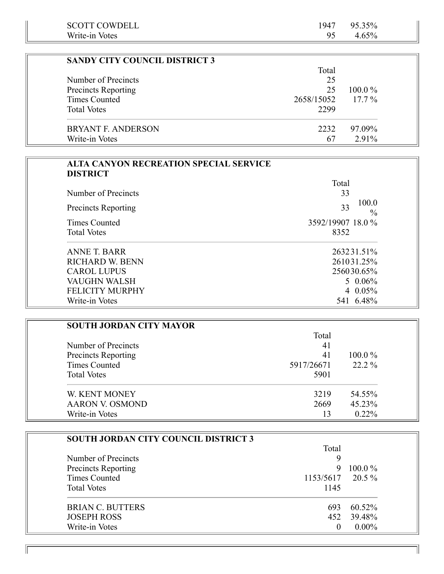| <b>SCOTT COWDELL</b><br>Write-in Votes        | 1947<br>95 | 95.35%<br>4.65%              |
|-----------------------------------------------|------------|------------------------------|
|                                               |            |                              |
| <b>SANDY CITY COUNCIL DISTRICT 3</b>          |            |                              |
|                                               | Total      |                              |
| Number of Precincts                           | 25         |                              |
| Precincts Reporting                           | 25         | 100.0%                       |
| <b>Times Counted</b>                          | 2658/15052 | $17.7\%$                     |
| <b>Total Votes</b>                            | 2299       |                              |
| <b>BRYANT F. ANDERSON</b>                     | 2232       | 97.09%                       |
| Write-in Votes                                | 67         | 2.91%                        |
|                                               |            |                              |
| <b>ALTA CANYON RECREATION SPECIAL SERVICE</b> |            |                              |
| <b>DISTRICT</b>                               |            |                              |
|                                               | Total      |                              |
| Number of Precincts                           |            | 33                           |
| <b>Precincts Reporting</b>                    |            | 100.0<br>33<br>$\frac{0}{0}$ |
| <b>Times Counted</b>                          |            | 3592/19907 18.0 %            |
| <b>Total Votes</b>                            | 8352       |                              |
| <b>ANNE T. BARR</b>                           |            | 263231.51%                   |
| <b>RICHARD W. BENN</b>                        |            | 261031.25%                   |
| <b>CAROL LUPUS</b>                            |            | 256030.65%                   |
| <b>VAUGHN WALSH</b>                           |            | $5\ 0.06\%$                  |
| FELICITY MURPHY                               |            | 4 0.05%                      |
| Write-in Votes                                |            | 541 6.48%                    |
|                                               |            |                              |
| <b>SOUTH JORDAN CITY MAYOR</b>                |            |                              |
|                                               | Total      |                              |

|                        | Total      |           |
|------------------------|------------|-----------|
| Number of Precincts    | 41         |           |
| Precincts Reporting    | 41         | $100.0\%$ |
| <b>Times Counted</b>   | 5917/26671 | $22.2\%$  |
| <b>Total Votes</b>     | 5901       |           |
| W. KENT MONEY          | 3219       | 54.55%    |
| <b>AARON V. OSMOND</b> | 2669       | 45.23%    |
| Write-in Votes         | 13         | $0.22\%$  |

| SOUTH JORDAN CITY COUNCIL DISTRICT 3 |                  |           |
|--------------------------------------|------------------|-----------|
|                                      | Total            |           |
| Number of Precincts                  | Q                |           |
| Precincts Reporting                  | 9                | $100.0\%$ |
| <b>Times Counted</b>                 | 1153/5617 20.5 % |           |
| <b>Total Votes</b>                   | 1145             |           |
| <b>BRIAN C. BUTTERS</b>              | 693              | 60.52%    |
| <b>JOSEPH ROSS</b>                   | 452              | 39.48%    |
| Write-in Votes                       |                  | $0.00\%$  |

 $\mathbb{I}$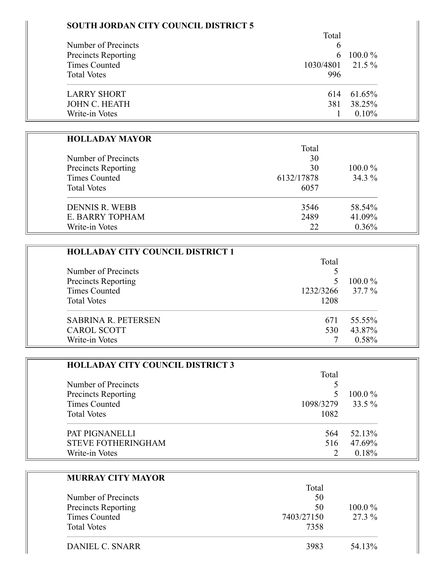## **SOUTH JORDAN CITY COUNCIL DISTRICT 5**

|                            | Total            |              |  |
|----------------------------|------------------|--------------|--|
| Number of Precincts        | 6                |              |  |
| <b>Precincts Reporting</b> |                  | 6 100.0 $\%$ |  |
| Times Counted              | 1030/4801 21.5 % |              |  |
| <b>Total Votes</b>         | 996              |              |  |
| <b>LARRY SHORT</b>         | 614              | 61.65%       |  |
| <b>JOHN C. HEATH</b>       | 381              | 38.25%       |  |
| Write-in Votes             |                  | $0.10\%$     |  |

#### **HOLLADAY MAYOR**

=

|                                            | Total      |           |
|--------------------------------------------|------------|-----------|
| Number of Precincts<br>Precincts Reporting | 30         | $100.0\%$ |
|                                            | 30         |           |
| <b>Times Counted</b>                       | 6132/17878 | $34.3\%$  |
| <b>Total Votes</b>                         | 6057       |           |
| <b>DENNIS R. WEBB</b>                      | 3546       | 58.54%    |
| E. BARRY TOPHAM                            | 2489       | 41.09%    |
| Write-in Votes                             | 22         | 0.36%     |

| <b>HOLLADAY CITY COUNCIL DISTRICT 1</b> |           |           |
|-----------------------------------------|-----------|-----------|
|                                         | Total     |           |
| Number of Precincts                     |           |           |
| <b>Precincts Reporting</b>              |           | $100.0\%$ |
| <b>Times Counted</b>                    | 1232/3266 | 37.7 %    |
| <b>Total Votes</b>                      | 1208      |           |
| <b>SABRINA R. PETERSEN</b>              | 671       | 55.55%    |
| <b>CAROL SCOTT</b>                      | 530       | 43.87%    |
| Write-in Votes                          |           | 0.58%     |

| <b>HOLLADAY CITY COUNCIL DISTRICT 3</b> |           |           |
|-----------------------------------------|-----------|-----------|
|                                         | Total     |           |
| Number of Precincts                     |           |           |
| Precincts Reporting                     |           | $100.0\%$ |
| <b>Times Counted</b>                    | 1098/3279 | 33.5 %    |
| <b>Total Votes</b>                      | 1082      |           |
| <b>PAT PIGNANELLI</b>                   | 564       | 52.13%    |
| <b>STEVE FOTHERINGHAM</b>               | 516       | 47.69%    |
| Write-in Votes                          |           | 0.18%     |

| <b>MURRAY CITY MAYOR</b> |            |           |
|--------------------------|------------|-----------|
|                          | Total      |           |
| Number of Precincts      | 50         |           |
| Precincts Reporting      | 50         | $100.0\%$ |
| Times Counted            | 7403/27150 | 27.3 %    |
| <b>Total Votes</b>       | 7358       |           |
| DANIEL C. SNARR          | 3983       | 54.13%    |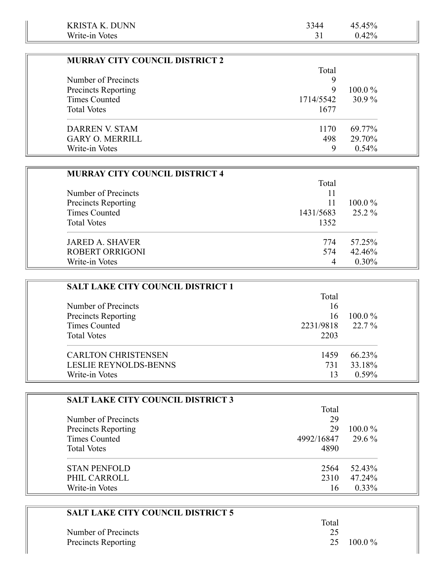| <b>KRISTA K. DUNN</b>                 | 3344      | 45.45%    |
|---------------------------------------|-----------|-----------|
| Write-in Votes                        | 31        | $0.42\%$  |
|                                       |           |           |
| <b>MURRAY CITY COUNCIL DISTRICT 2</b> |           |           |
|                                       | Total     |           |
| Number of Precincts                   | 9         |           |
| <b>Precincts Reporting</b>            | 9         | $100.0\%$ |
| Times Counted                         | 1714/5542 | $30.9\%$  |
| <b>Total Votes</b>                    | 1677      |           |
| <b>DARREN V. STAM</b>                 | 1170      | 69.77%    |
| <b>GARY O. MERRILL</b>                | 498       | 29.70%    |
| Write-in Votes                        | 9         | 0.54%     |

| <b>MURRAY CITY COUNCIL DISTRICT 4</b> |           |           |
|---------------------------------------|-----------|-----------|
|                                       | Total     |           |
| Number of Precincts                   | 11        |           |
| Precincts Reporting                   | 11        | $100.0\%$ |
| <b>Times Counted</b>                  | 1431/5683 | 25.2 %    |
| <b>Total Votes</b>                    | 1352      |           |
| <b>JARED A. SHAVER</b>                | 774       | 57.25%    |
| <b>ROBERT ORRIGONI</b>                | 574       | 42.46%    |
| Write-in Votes                        |           | $0.30\%$  |

| <b>SALT LAKE CITY COUNCIL DISTRICT 1</b> |           |           |
|------------------------------------------|-----------|-----------|
|                                          | Total     |           |
| Number of Precincts                      | 16        |           |
| Precincts Reporting                      | 16        | $100.0\%$ |
| Times Counted                            | 2231/9818 | 22.7 %    |
| <b>Total Votes</b>                       | 2203      |           |
| <b>CARLTON CHRISTENSEN</b>               | 1459      | 66.23%    |
| <b>LESLIE REYNOLDS-BENNS</b>             | 731       | 33.18%    |
| Write-in Votes                           |           | $0.59\%$  |

| <b>SALT LAKE CITY COUNCIL DISTRICT 3</b> |            |           |
|------------------------------------------|------------|-----------|
|                                          | Total      |           |
| Number of Precincts                      | 29         |           |
| <b>Precincts Reporting</b>               | 29         | $100.0\%$ |
| <b>Times Counted</b>                     | 4992/16847 | 29.6 %    |
| <b>Total Votes</b>                       | 4890       |           |
| <b>STAN PENFOLD</b>                      | 2564       | 52.43%    |
| PHIL CARROLL                             | 2310       | 47.24%    |
| Write-in Votes                           | 16         | $0.33\%$  |

| <b>SALT LAKE CITY COUNCIL DISTRICT 5</b> |       |                    |
|------------------------------------------|-------|--------------------|
|                                          | Total |                    |
| Number of Precincts                      | 25    |                    |
| <b>Precincts Reporting</b>               |       | $25 \quad 100.0\%$ |

 $\overline{\phantom{a}}$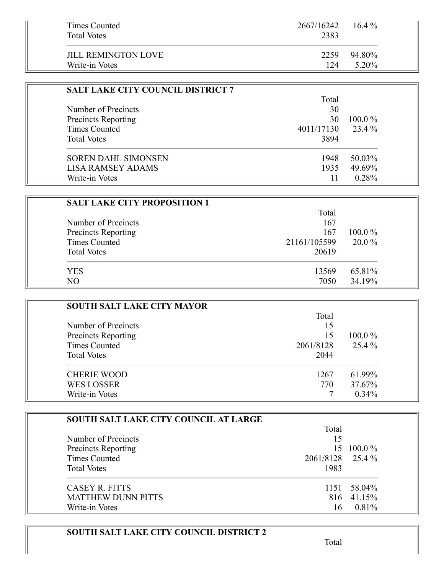| Times Counted<br><b>Total Votes</b> | 2667/16242<br>2383 | $16.4\%$ |
|-------------------------------------|--------------------|----------|
| <b>JILL REMINGTON LOVE</b>          | 2259               | 94.80%   |
| Write-in Votes                      | 124                | 5.20%    |

| <b>SALT LAKE CITY COUNCIL DISTRICT 7</b> |            |           |
|------------------------------------------|------------|-----------|
|                                          | Total      |           |
| Number of Precincts                      | 30         |           |
| <b>Precincts Reporting</b>               | 30         | $100.0\%$ |
| <b>Times Counted</b>                     | 4011/17130 | 23.4 %    |
| <b>Total Votes</b>                       | 3894       |           |
| <b>SOREN DAHL SIMONSEN</b>               | 1948       | 50.03%    |
| <b>LISA RAMSEY ADAMS</b>                 | 1935       | 49.69%    |
| Write-in Votes                           |            | 0.28%     |

| <b>SALT LAKE CITY PROPOSITION 1</b> |              |           |
|-------------------------------------|--------------|-----------|
|                                     | Total        |           |
| Number of Precincts                 | 167          |           |
| Precincts Reporting                 | 167          | $100.0\%$ |
| <b>Times Counted</b>                | 21161/105599 | $20.0\%$  |
| <b>Total Votes</b>                  | 20619        |           |
| YES                                 | 13569        | 65.81%    |
| N <sub>O</sub>                      | 7050         | 34.19%    |

| <b>SOUTH SALT LAKE CITY MAYOR</b> |           |           |
|-----------------------------------|-----------|-----------|
|                                   | Total     |           |
| Number of Precincts               | 15        |           |
| Precincts Reporting               | 15        | $100.0\%$ |
| Times Counted                     | 2061/8128 | $25.4\%$  |
| <b>Total Votes</b>                | 2044      |           |
| <b>CHERIE WOOD</b>                | 1267      | 61.99%    |
| <b>WES LOSSER</b>                 | 770       | 37.67%    |
| Write-in Votes                    |           | $0.34\%$  |

| <b>SOUTH SALT LAKE CITY COUNCIL AT LARGE</b> |                  |            |
|----------------------------------------------|------------------|------------|
|                                              | Total            |            |
| Number of Precincts                          | 15               |            |
| <b>Precincts Reporting</b>                   | 15               | $100.0\%$  |
| Times Counted                                | 2061/8128 25.4 % |            |
| <b>Total Votes</b>                           | 1983             |            |
| CASEY R. FITTS                               | 1151             | 58.04%     |
| <b>MATTHEW DUNN PITTS</b>                    |                  | 816 41.15% |
| Write-in Votes                               | 16               | 0.81%      |

# **SOUTH SALT LAKE CITY COUNCIL DISTRICT 2**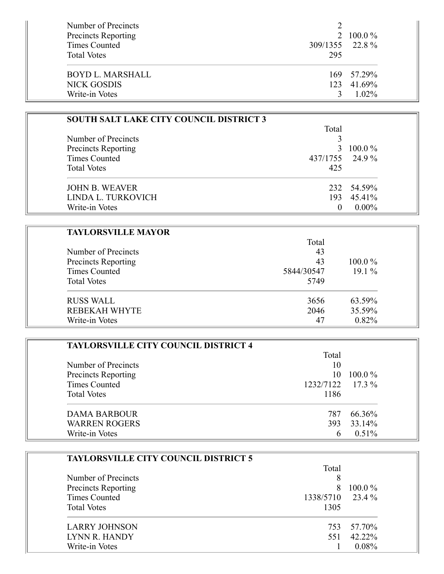| Number of Precincts<br><b>Precincts Reporting</b><br>Times Counted | 309/1355 22.8 % | 2 100.0 $\%$ |
|--------------------------------------------------------------------|-----------------|--------------|
| <b>Total Votes</b>                                                 | 295             |              |
| BOYD L. MARSHALL                                                   |                 | 169 57.29%   |
| NICK GOSDIS                                                        |                 | 123 41.69%   |
| Write-in Votes                                                     |                 | $1.02\%$     |

| <b>SOUTH SALT LAKE CITY COUNCIL DISTRICT 3</b> |                 |              |
|------------------------------------------------|-----------------|--------------|
|                                                | Total           |              |
| Number of Precincts                            |                 |              |
| Precincts Reporting                            |                 | 3 100.0 $\%$ |
| <b>Times Counted</b>                           | 437/1755 24.9 % |              |
| <b>Total Votes</b>                             | 425             |              |
| <b>JOHN B. WEAVER</b>                          |                 | 232 54.59%   |
| LINDA L. TURKOVICH                             |                 | 193 45.41%   |
| Write-in Votes                                 |                 | $0.00\%$     |

| <b>TAYLORSVILLE MAYOR</b>                  |            |           |
|--------------------------------------------|------------|-----------|
|                                            | Total      |           |
| Number of Precincts<br>Precincts Reporting | 43         |           |
|                                            | 43         | $100.0\%$ |
| <b>Times Counted</b>                       | 5844/30547 | $19.1\%$  |
| <b>Total Votes</b>                         | 5749       |           |
| <b>RUSS WALL</b>                           | 3656       | 63.59%    |
| REBEKAH WHYTE                              | 2046       | 35.59%    |
| Write-in Votes                             | 47         | 0.82%     |

| <b>TAYLORSVILLE CITY COUNCIL DISTRICT 4</b> |                  |           |
|---------------------------------------------|------------------|-----------|
|                                             | Total            |           |
| Number of Precincts<br>Precincts Reporting  | 10               |           |
|                                             | 10.              | $100.0\%$ |
| <b>Times Counted</b>                        | 1232/7122 17.3 % |           |
| <b>Total Votes</b>                          | 1186             |           |
| DAMA BARBOUR                                | 787.             | 66.36%    |
| <b>WARREN ROGERS</b>                        | 393              | 33.14%    |
| Write-in Votes                              | h                | $0.51\%$  |

| <b>TAYLORSVILLE CITY COUNCIL DISTRICT 5</b> |           |           |
|---------------------------------------------|-----------|-----------|
|                                             | Total     |           |
| Number of Precincts<br>Precincts Reporting  | 8         | $100.0\%$ |
|                                             | 8         |           |
| Times Counted                               | 1338/5710 | 23.4 %    |
| <b>Total Votes</b>                          | 1305      |           |
| <b>LARRY JOHNSON</b>                        | 753       | 57.70%    |
| LYNN R. HANDY                               | 551       | 42.22%    |
| Write-in Votes                              |           | 0.08%     |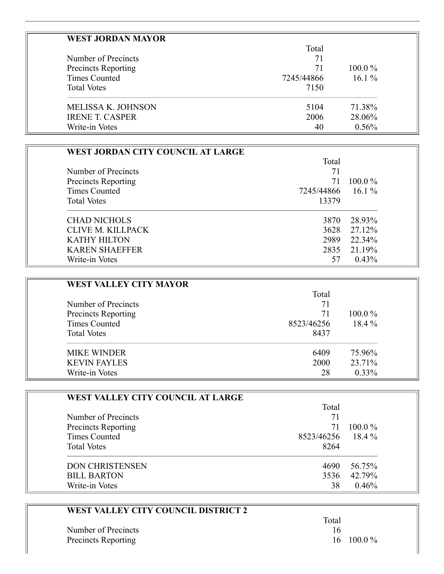| <b>WEST JORDAN MAYOR</b>   |            |           |
|----------------------------|------------|-----------|
|                            | Total      |           |
| Number of Precincts        | 71         |           |
| <b>Precincts Reporting</b> | 71         | $100.0\%$ |
| Times Counted              | 7245/44866 | $16.1\%$  |
| <b>Total Votes</b>         | 7150       |           |
| <b>MELISSA K. JOHNSON</b>  | 5104       | 71.38%    |
| <b>IRENE T. CASPER</b>     | 2006       | 28.06%    |
| Write-in Votes             | 40         | 0.56%     |

| WEST JORDAN CITY COUNCIL AT LARGE |            |           |
|-----------------------------------|------------|-----------|
|                                   | Total      |           |
| Number of Precincts               | 71         |           |
| <b>Precincts Reporting</b>        | 71         | $100.0\%$ |
| Times Counted                     | 7245/44866 | $16.1\%$  |
| <b>Total Votes</b>                | 13379      |           |
| <b>CHAD NICHOLS</b>               | 3870       | 28.93%    |
| CLIVE M. KILLPACK                 | 3628       | 27.12%    |
| <b>KATHY HILTON</b>               | 2989       | 22.34%    |
| <b>KAREN SHAEFFER</b>             | 2835       | 21.19%    |
| Write-in Votes                    | 57         | 0.43%     |

| <b>WEST VALLEY CITY MAYOR</b>              |          |           |
|--------------------------------------------|----------|-----------|
| Number of Precincts<br>Precincts Reporting | Total    |           |
|                                            | 71<br>71 | $100.0\%$ |
|                                            |          |           |
| <b>Total Votes</b>                         | 8437     |           |
| <b>MIKE WINDER</b>                         | 6409     | 75.96%    |
| <b>KEVIN FAYLES</b>                        | 2000     | 23.71%    |
| Write-in Votes                             | 28       | $0.33\%$  |

| WEST VALLEY CITY COUNCIL AT LARGE |                   |           |
|-----------------------------------|-------------------|-----------|
|                                   | Total             |           |
| Number of Precincts               |                   |           |
| <b>Precincts Reporting</b>        | 71                | $100.0\%$ |
| Times Counted                     | 8523/46256 18.4 % |           |
| <b>Total Votes</b>                | 8264              |           |
| <b>DON CHRISTENSEN</b>            | 4690              | 56.75%    |
| <b>BILL BARTON</b>                | 3536              | 42.79%    |
| Write-in Votes                    | 38                | 0.46%     |

| WEST VALLEY CITY COUNCIL DISTRICT 2 |       |                    |
|-------------------------------------|-------|--------------------|
|                                     | Total |                    |
| Number of Precincts                 | 16    |                    |
| <b>Precincts Reporting</b>          |       | $16 \quad 100.0\%$ |